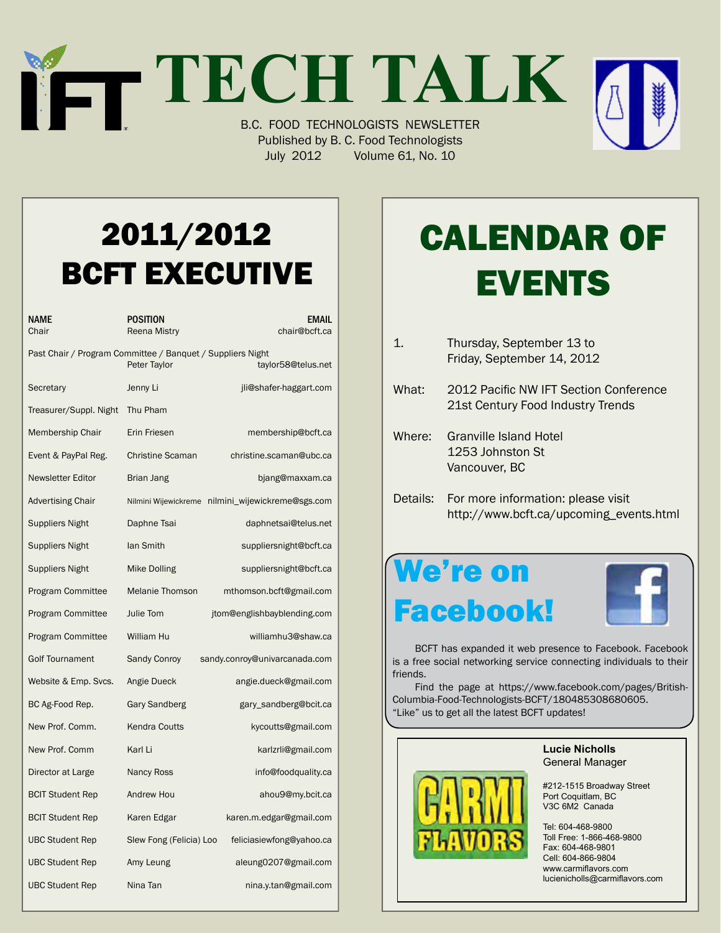# **TECH TALK** B.C. FOOD TECHNOLOGISTS NEWSLETTER



Published by B. C. Food Technologists July 2012 Volume 61, No. 10

### 2011/2012 BCFT EXECUTIVE

| NAME<br>Chair                                                                                    | POSITION<br><b>Reena Mistry</b> | <b>EMAIL</b><br>chair@bcft.ca                     |  |
|--------------------------------------------------------------------------------------------------|---------------------------------|---------------------------------------------------|--|
| Past Chair / Program Committee / Banquet / Suppliers Night<br>Peter Taylor<br>taylor58@telus.net |                                 |                                                   |  |
| Secretary                                                                                        | Jenny Li                        | jli@shafer-haggart.com                            |  |
| Treasurer/Suppl. Night                                                                           | Thu Pham                        |                                                   |  |
| Membership Chair                                                                                 | Erin Friesen                    | membership@bcft.ca                                |  |
| Event & PayPal Reg.                                                                              | <b>Christine Scaman</b>         | christine.scaman@ubc.ca                           |  |
| <b>Newsletter Editor</b>                                                                         | Brian Jang                      | bjang@maxxam.ca                                   |  |
| <b>Advertising Chair</b>                                                                         |                                 | Nilmini Wijewickreme nilmini_wijewickreme@sgs.com |  |
| Suppliers Night                                                                                  | Daphne Tsai                     | daphnetsai@telus.net                              |  |
| <b>Suppliers Night</b>                                                                           | lan Smith                       | suppliersnight@bcft.ca                            |  |
| <b>Suppliers Night</b>                                                                           | <b>Mike Dolling</b>             | suppliersnight@bcft.ca                            |  |
| <b>Program Committee</b>                                                                         | <b>Melanie Thomson</b>          | mthomson.bcft@gmail.com                           |  |
| <b>Program Committee</b>                                                                         | Julie Tom                       | jtom@englishbayblending.com                       |  |
| <b>Program Committee</b>                                                                         | William Hu                      | williamhu3@shaw.ca                                |  |
| <b>Golf Tournament</b>                                                                           | <b>Sandy Conroy</b>             | sandy.conroy@univarcanada.com                     |  |
| Website & Emp. Svcs.                                                                             | Angie Dueck                     | angie.dueck@gmail.com                             |  |
| BC Ag-Food Rep.                                                                                  | Gary Sandberg                   | gary_sandberg@bcit.ca                             |  |
| New Prof. Comm.                                                                                  | <b>Kendra Coutts</b>            | kycoutts@gmail.com                                |  |
| New Prof. Comm                                                                                   | Karl Li                         | karlzrli@gmail.com                                |  |
| Director at Large                                                                                | <b>Nancy Ross</b>               | info@foodquality.ca                               |  |
| <b>BCIT Student Rep</b>                                                                          | Andrew Hou                      | ahou9@my.bcit.ca                                  |  |
| <b>BCIT Student Rep</b>                                                                          | Karen Edgar                     | karen.m.edgar@gmail.com                           |  |
| <b>UBC Student Rep</b>                                                                           | Slew Fong (Felicia) Loo         | feliciasiewfong@yahoo.ca                          |  |
| <b>UBC Student Rep</b>                                                                           | Amy Leung                       | aleung0207@gmail.com                              |  |
| <b>UBC Student Rep</b>                                                                           | Nina Tan                        | nina.y.tan@gmail.com                              |  |

## Calendar Of **EVENTS**

- 1. Thursday, September 13 to Friday, September 14, 2012 What: 2012 Pacific NW IFT Section Conference 21st Century Food Industry Trends Where: Granville Island Hotel 1253 Johnston St
- Details: For more information: please visit http://www.bcft.ca/upcoming\_events.html

### We're on Facebook!

 Vancouver, BC



 BCFT has expanded it web presence to Facebook. Facebook is a free social networking service connecting individuals to their friends.

Find the page at https://www.facebook.com/pages/British-Columbia-Food-Technologists-BCFT/180485308680605. "Like" us to get all the latest BCFT updates!



**Lucie Nicholls** General Manager

#212-1515 Broadway Street Port Coquitlam, BC V3C 6M2 Canada

Tel: 604-468-9800 Toll Free: 1-866-468-9800 Fax: 604-468-9801 Cell: 604-866-9804 www.carmiflavors.com lucienicholls@carmiflavors.com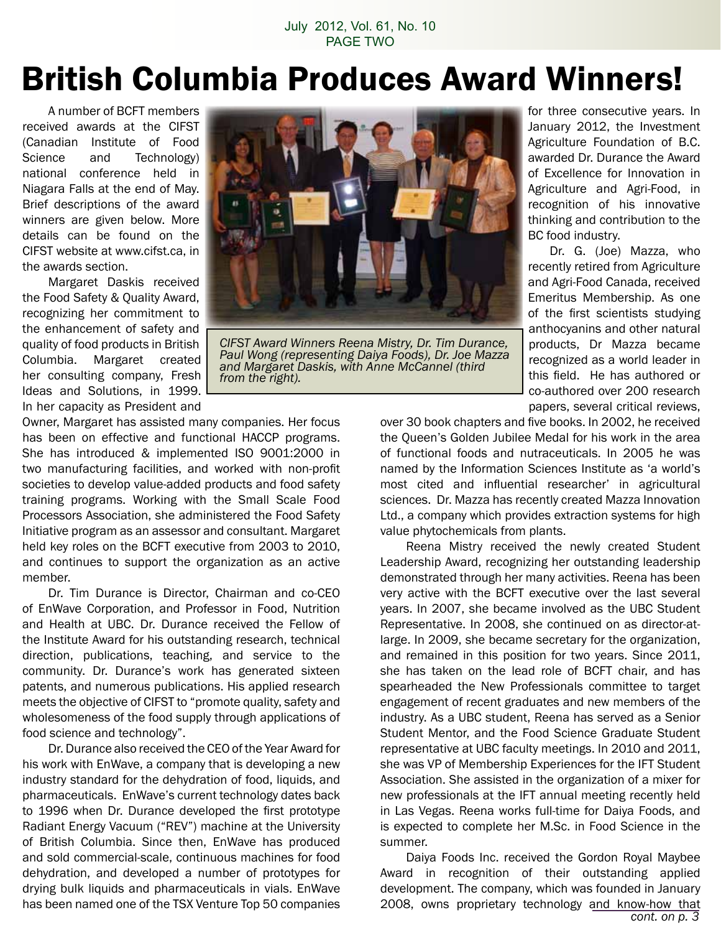#### July 2012, Vol. 61, No. 10 PAGE TWO

### British Columbia Produces Award Winners!

A number of BCFT members received awards at the CIFST (Canadian Institute of Food Science and Technology) national conference held in Niagara Falls at the end of May. Brief descriptions of the award winners are given below. More details can be found on the CIFST website at www.cifst.ca, in the awards section.

 Margaret Daskis received the Food Safety & Quality Award, recognizing her commitment to the enhancement of safety and quality of food products in British Columbia. Margaret created her consulting company, Fresh Ideas and Solutions, in 1999. In her capacity as President and



*CIFST Award Winners Reena Mistry, Dr. Tim Durance, Paul Wong (representing Daiya Foods), Dr. Joe Mazza and Margaret Daskis, with Anne McCannel (third from the right).*

Owner, Margaret has assisted many companies. Her focus has been on effective and functional HACCP programs. She has introduced & implemented ISO 9001:2000 in two manufacturing facilities, and worked with non-profit societies to develop value-added products and food safety training programs. Working with the Small Scale Food Processors Association, she administered the Food Safety Initiative program as an assessor and consultant. Margaret held key roles on the BCFT executive from 2003 to 2010, and continues to support the organization as an active member.

 Dr. Tim Durance is Director, Chairman and co-CEO of EnWave Corporation, and Professor in Food, Nutrition and Health at UBC. Dr. Durance received the Fellow of the Institute Award for his outstanding research, technical direction, publications, teaching, and service to the community. Dr. Durance's work has generated sixteen patents, and numerous publications. His applied research meets the objective of CIFST to "promote quality, safety and wholesomeness of the food supply through applications of food science and technology".

Dr. Durance also received the CEO of the Year Award for his work with EnWave, a company that is developing a new industry standard for the dehydration of food, liquids, and pharmaceuticals. EnWave's current technology dates back to 1996 when Dr. Durance developed the first prototype Radiant Energy Vacuum ("REV") machine at the University of British Columbia. Since then, EnWave has produced and sold commercial-scale, continuous machines for food dehydration, and developed a number of prototypes for drying bulk liquids and pharmaceuticals in vials. EnWave has been named one of the TSX Venture Top 50 companies for three consecutive years. In January 2012, the Investment Agriculture Foundation of B.C. awarded Dr. Durance the Award of Excellence for Innovation in Agriculture and Agri-Food, in recognition of his innovative thinking and contribution to the BC food industry.

Dr. G. (Joe) Mazza, who recently retired from Agriculture and Agri-Food Canada, received Emeritus Membership. As one of the first scientists studying anthocyanins and other natural products, Dr Mazza became recognized as a world leader in this field. He has authored or co-authored over 200 research papers, several critical reviews,

over 30 book chapters and five books. In 2002, he received the Queen's Golden Jubilee Medal for his work in the area of functional foods and nutraceuticals. In 2005 he was named by the Information Sciences Institute as 'a world's most cited and influential researcher' in agricultural sciences. Dr. Mazza has recently created Mazza Innovation Ltd., a company which provides extraction systems for high value phytochemicals from plants.

 Reena Mistry received the newly created Student Leadership Award, recognizing her outstanding leadership demonstrated through her many activities. Reena has been very active with the BCFT executive over the last several years. In 2007, she became involved as the UBC Student Representative. In 2008, she continued on as director-atlarge. In 2009, she became secretary for the organization, and remained in this position for two years. Since 2011, she has taken on the lead role of BCFT chair, and has spearheaded the New Professionals committee to target engagement of recent graduates and new members of the industry. As a UBC student, Reena has served as a Senior Student Mentor, and the Food Science Graduate Student representative at UBC faculty meetings. In 2010 and 2011, she was VP of Membership Experiences for the IFT Student Association. She assisted in the organization of a mixer for new professionals at the IFT annual meeting recently held in Las Vegas. Reena works full-time for Daiya Foods, and is expected to complete her M.Sc. in Food Science in the summer.

 Daiya Foods Inc. received the Gordon Royal Maybee Award in recognition of their outstanding applied development. The company, which was founded in January 2008, owns proprietary technology and know-how that *cont. on p. 3*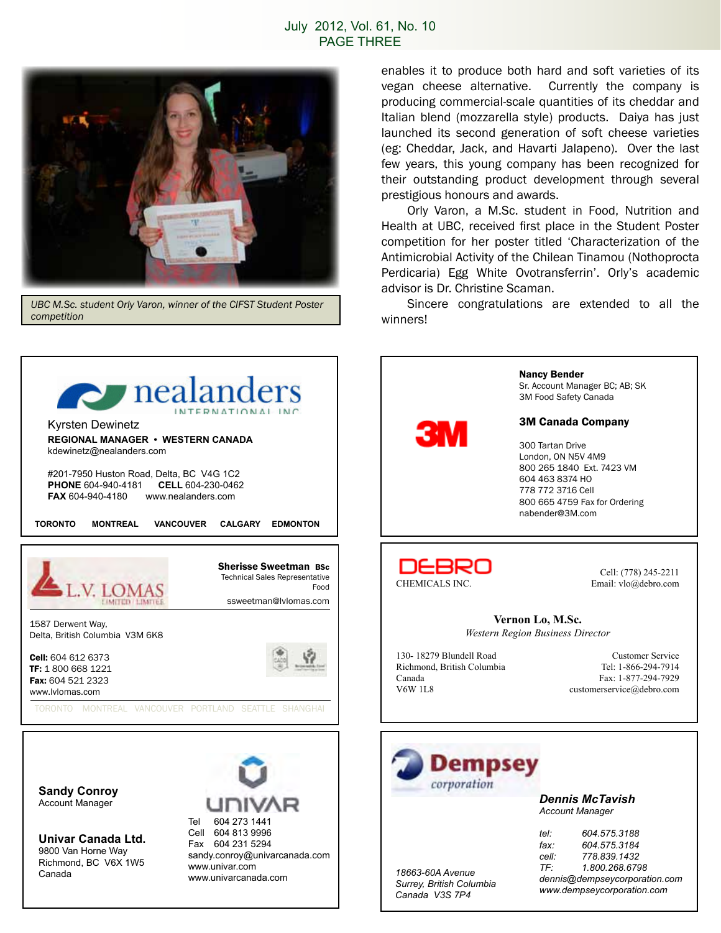#### July 2012, Vol. 61, No. 10 PAGE THREE



*UBC M.Sc. student Orly Varon, winner of the CIFST Student Poster competition*

enables it to produce both hard and soft varieties of its vegan cheese alternative. Currently the company is producing commercial-scale quantities of its cheddar and Italian blend (mozzarella style) products. Daiya has just launched its second generation of soft cheese varieties (eg: Cheddar, Jack, and Havarti Jalapeno). Over the last few years, this young company has been recognized for their outstanding product development through several prestigious honours and awards.

 Orly Varon, a M.Sc. student in Food, Nutrition and Health at UBC, received first place in the Student Poster competition for her poster titled 'Characterization of the Antimicrobial Activity of the Chilean Tinamou (Nothoprocta Perdicaria) Egg White Ovotransferrin'. Orly's academic advisor is Dr. Christine Scaman.

Sincere congratulations are extended to all the winners!

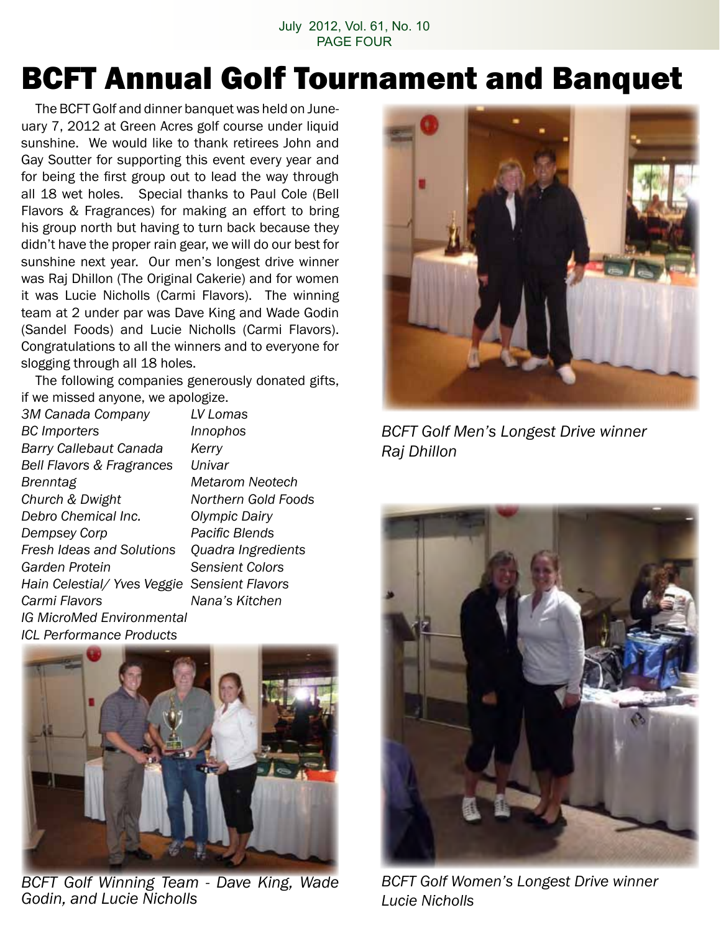July 2012, Vol. 61, No. 10 PAGE FOUR

### BCFT Annual Golf Tournament and Banquet

 The BCFT Golf and dinner banquet was held on Juneuary 7, 2012 at Green Acres golf course under liquid sunshine. We would like to thank retirees John and Gay Soutter for supporting this event every year and for being the first group out to lead the way through all 18 wet holes. Special thanks to Paul Cole (Bell Flavors & Fragrances) for making an effort to bring his group north but having to turn back because they didn't have the proper rain gear, we will do our best for sunshine next year. Our men's longest drive winner was Raj Dhillon (The Original Cakerie) and for women it was Lucie Nicholls (Carmi Flavors). The winning team at 2 under par was Dave King and Wade Godin (Sandel Foods) and Lucie Nicholls (Carmi Flavors). Congratulations to all the winners and to everyone for slogging through all 18 holes.

The following companies generously donated gifts, if we missed anyone, we apologize.

*3M Canada Company LV Lomas BC Importers Innophos Barry Callebaut Canada Kerry Bell Flavors & Fragrances Univar Brenntag Metarom Neotech Church & Dwight Northern Gold Foods Debro Chemical Inc. Olympic Dairy Dempsey Corp Pacific Blends Fresh Ideas and Solutions Quadra Ingredients Garden Protein Sensient Colors Hain Celestial/ Yves Veggie Sensient Flavors Carmi Flavors Nana's Kitchen IG MicroMed Environmental ICL Performance Products*



*BCFT Golf Winning Team - Dave King, Wade Godin, and Lucie Nicholls*



*BCFT Golf Men's Longest Drive winner Raj Dhillon*



*BCFT Golf Women's Longest Drive winner Lucie Nicholls*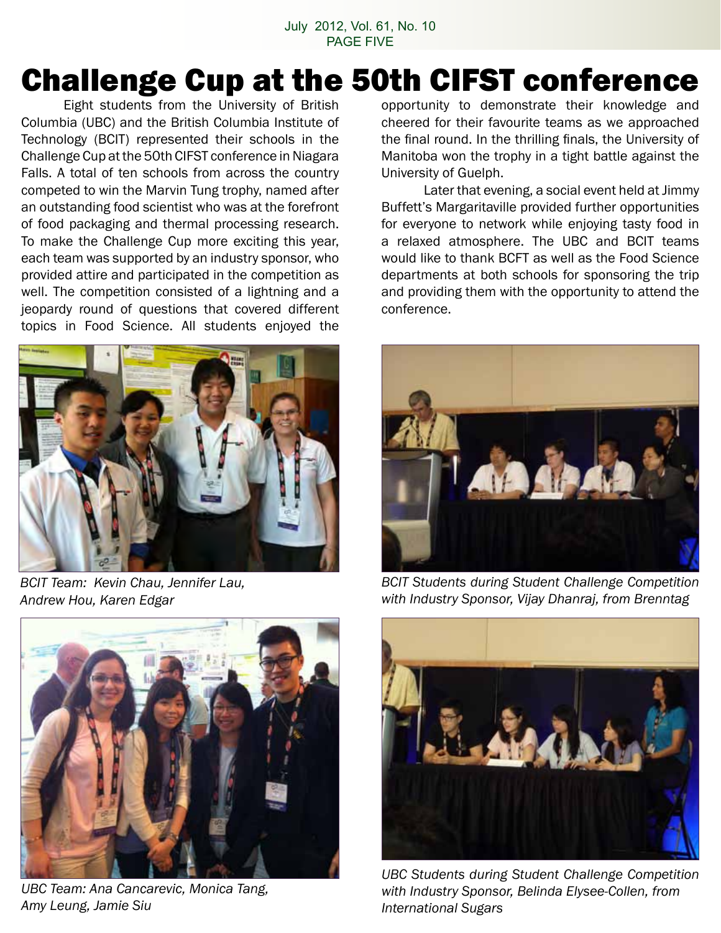### Challenge Cup at the 50th CIFST conference

 Eight students from the University of British Columbia (UBC) and the British Columbia Institute of Technology (BCIT) represented their schools in the Challenge Cup at the 50th CIFST conference in Niagara Falls. A total of ten schools from across the country competed to win the Marvin Tung trophy, named after an outstanding food scientist who was at the forefront of food packaging and thermal processing research. To make the Challenge Cup more exciting this year, each team was supported by an industry sponsor, who provided attire and participated in the competition as well. The competition consisted of a lightning and a jeopardy round of questions that covered different topics in Food Science. All students enjoyed the



*BCIT Team: Kevin Chau, Jennifer Lau, Andrew Hou, Karen Edgar*



*UBC Team: Ana Cancarevic, Monica Tang, Amy Leung, Jamie Siu*

opportunity to demonstrate their knowledge and cheered for their favourite teams as we approached the final round. In the thrilling finals, the University of Manitoba won the trophy in a tight battle against the University of Guelph.

 Later that evening, a social event held at Jimmy Buffett's Margaritaville provided further opportunities for everyone to network while enjoying tasty food in a relaxed atmosphere. The UBC and BCIT teams would like to thank BCFT as well as the Food Science departments at both schools for sponsoring the trip and providing them with the opportunity to attend the conference.



*BCIT Students during Student Challenge Competition with Industry Sponsor, Vijay Dhanraj, from Brenntag*



*UBC Students during Student Challenge Competition with Industry Sponsor, Belinda Elysee-Collen, from International Sugars*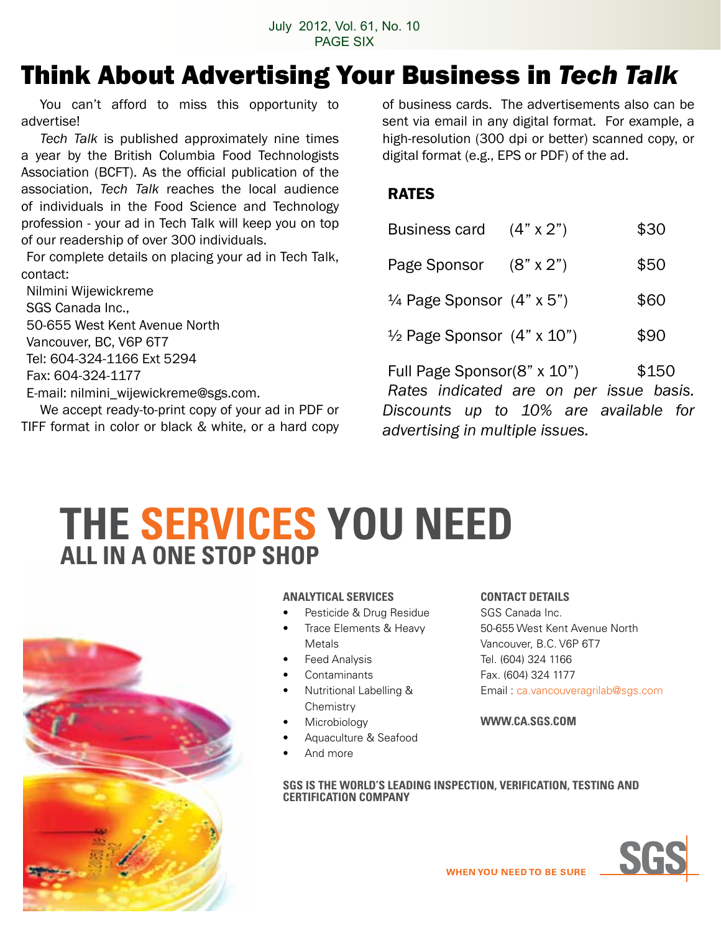### Think About Advertising Your Business in *Tech Talk*

You can't afford to miss this opportunity to advertise!

*Tech Talk* is published approximately nine times a year by the British Columbia Food Technologists Association (BCFT). As the official publication of the association, *Tech Talk* reaches the local audience of individuals in the Food Science and Technology profession - your ad in Tech Talk will keep you on top of our readership of over 300 individuals.

For complete details on placing your ad in Tech Talk, contact:

Nilmini Wijewickreme SGS Canada Inc., 50-655 West Kent Avenue North Vancouver, BC, V6P 6T7 Tel: 604-324-1166 Ext 5294 Fax: 604-324-1177 E-mail: nilmini\_wijewickreme@sgs.com.

 We accept ready-to-print copy of your ad in PDF or TIFF format in color or black & white, or a hard copy of business cards. The advertisements also can be sent via email in any digital format. For example, a high-resolution (300 dpi or better) scanned copy, or digital format (e.g., EPS or PDF) of the ad.

#### RATES

| Business card $(4" \times 2")$               |                                         | \$30  |
|----------------------------------------------|-----------------------------------------|-------|
| Page Sponsor (8" x 2")                       |                                         | \$50  |
| $\frac{1}{4}$ Page Sponsor $(4" \times 5")$  |                                         | \$60  |
| $\frac{1}{2}$ Page Sponsor $(4" \times 10")$ |                                         | \$90  |
| Full Page Sponsor(8" x 10")                  | Rates indicated are on per issue basis. | \$150 |
|                                              | Discounts up to 10% are available for   |       |

**THE SERVICES YOu NEED ALL IN A ONE STOP SHOP**



#### **ANALYTICAL SERVICES**

- Pesticide & Drug Residue
- Trace Elements & Heavy Metals
- **Feed Analysis**
- **Contaminants**
- **Nutritional Labelling & Chemistry**
- **Microbiology**
- Aquaculture & Seafood
- And more

#### **CONTACT DETAILS**

*advertising in multiple issues.*

SGS Canada Inc. 50-655 West Kent Avenue North Vancouver, B.C. V6P 6T7 Tel. (604) 324 1166 Fax. (604) 324 1177 Email : ca.vancouveragrilab@sgs.com

#### **WWW.CA.SGS.COM**

**SGS IS THE WORLD'S LEADING INSPECTION, VERIFICATION, TESTING AND CERTIFICATION COMPANY**

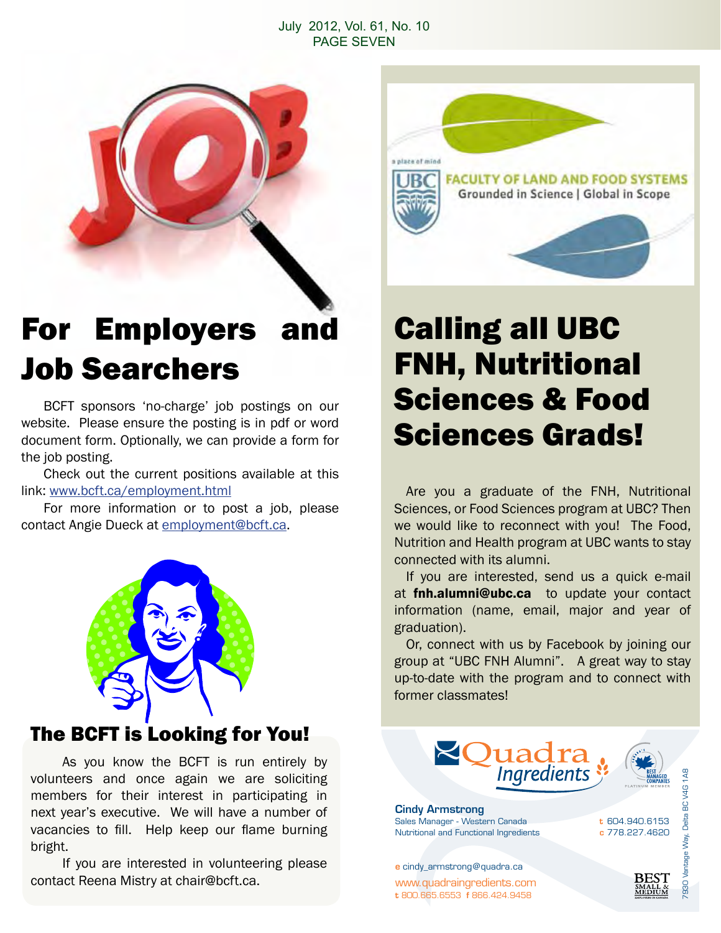#### July 2012, Vol. 61, No. 10 PAGE SEVEN



### For Employers and Job Searchers

 BCFT sponsors 'no-charge' job postings on our website. Please ensure the posting is in pdf or word document form. Optionally, we can provide a form for the job posting.

 Check out the current positions available at this link: www.bcft.ca/employment.html

 For more information or to post a job, please contact Angie Dueck at employment@bcft.ca.



### The BCFT is Looking for You!

 As you know the BCFT is run entirely by volunteers and once again we are soliciting members for their interest in participating in next year's executive. We will have a number of vacancies to fill. Help keep our flame burning bright.

 If you are interested in volunteering please contact Reena Mistry at chair@bcft.ca.



### Calling all UBC FNH, Nutritional Sciences & Food Sciences Grads!

 Are you a graduate of the FNH, Nutritional Sciences, or Food Sciences program at UBC? Then we would like to reconnect with you! The Food, Nutrition and Health program at UBC wants to stay connected with its alumni.

If you are interested, send us a quick e-mail at **fnh.alumni@ubc.ca** to update your contact information (name, email, major and year of graduation).

Or, connect with us by Facebook by joining our group at "UBC FNH Alumni". A great way to stay up-to-date with the program and to connect with former classmates!

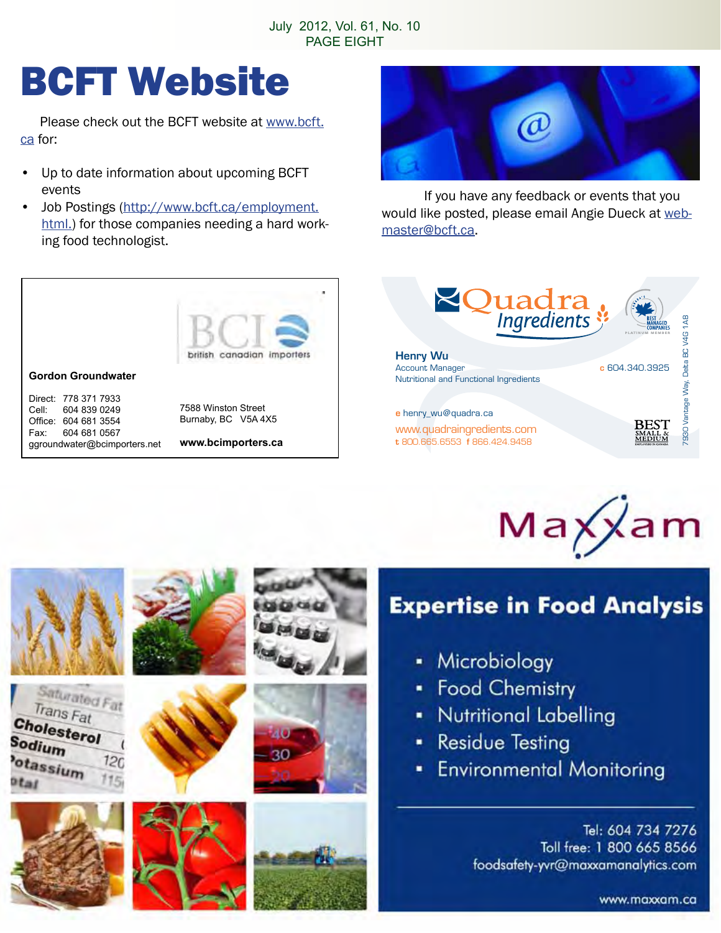# BCFT Website

 Please check out the BCFT website at www.bcft. ca for:

- Up to date information about upcoming BCFT events
- Job Postings (http://www.bcft.ca/employment. html.) for those companies needing a hard working food technologist.



 If you have any feedback or events that you would like posted, please email Angie Dueck at webmaster@bcft.ca.



Fax: 604 681 0567 ggroundwater@bcimporters.net

Saturated Fat Trans Fat

 $120$ 

Cholesterol

otassium

Sodium

**www.bcimporters.ca**





### **Expertise in Food Analysis**

- Microbiology ٠
- **Food Chemistry**
- **Nutritional Labelling**
- **Residue Testing** ш.
- **Environmental Monitoring**  $\blacksquare$

Tel: 604 734 7276 Toll free: 1 800 665 8566 foodsafety-yvr@maxxamanalytics.com